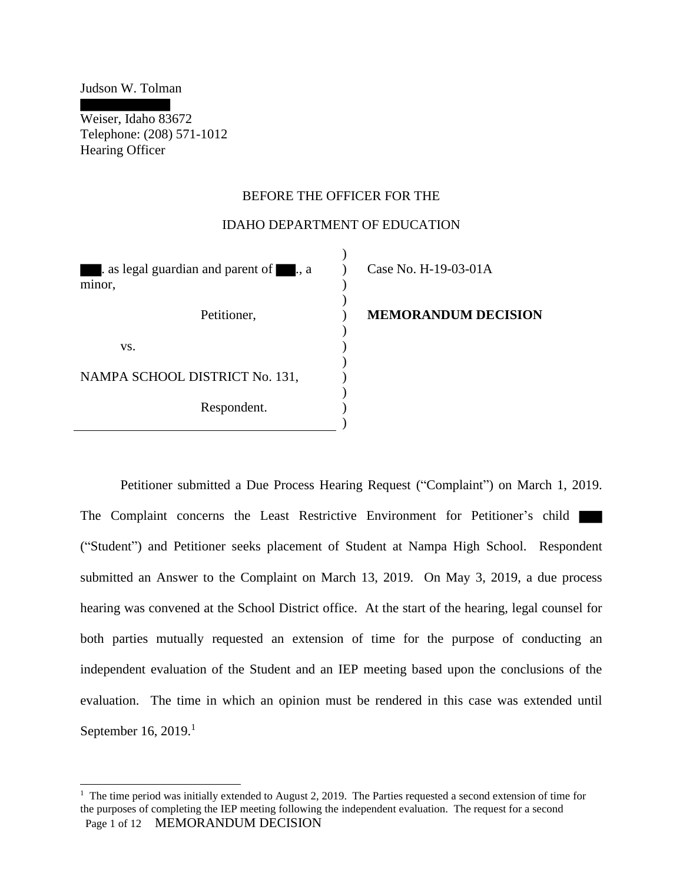Judson W. Tolman

Weiser, Idaho 83672 Telephone: (208) 571-1012 Hearing Officer

## BEFORE THE OFFICER FOR THE

#### IDAHO DEPARTMENT OF EDUCATION

 $\lambda$ 

| as legal guardian and parent of , a<br>minor, | Case No. H-19-03-01A |
|-----------------------------------------------|----------------------|
| Petitioner,                                   | <b>MEMORANDUM DE</b> |
| VS.                                           |                      |
| NAMPA SCHOOL DISTRICT No. 131,                |                      |
| Respondent.                                   |                      |
|                                               |                      |

# **MEMORANDUM DECISION**

Petitioner submitted a Due Process Hearing Request ("Complaint") on March 1, 2019. The Complaint concerns the Least Restrictive Environment for Petitioner's child ("Student") and Petitioner seeks placement of Student at Nampa High School. Respondent submitted an Answer to the Complaint on March 13, 2019. On May 3, 2019, a due process hearing was convened at the School District office. At the start of the hearing, legal counsel for both parties mutually requested an extension of time for the purpose of conducting an independent evaluation of the Student and an IEP meeting based upon the conclusions of the evaluation. The time in which an opinion must be rendered in this case was extended until September 16, 2019. $^1$ 

<sup>&</sup>lt;sup>1</sup> The time period was initially extended to August 2, 2019. The Parties requested a second extension of time for the purposes of completing the IEP meeting following the independent evaluation. The request for a second Page 1 of 12 MEMORANDUM DECISION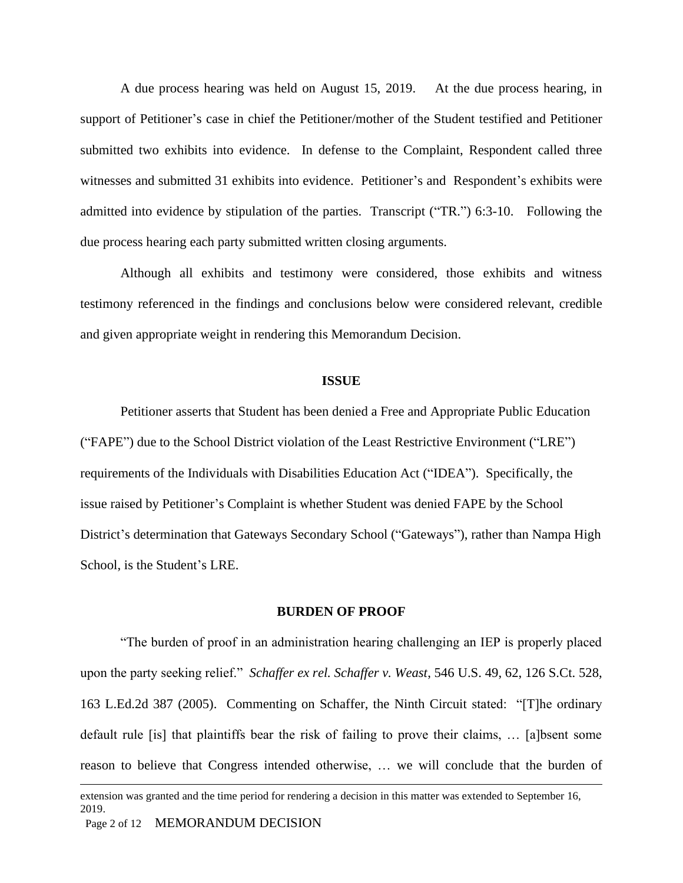A due process hearing was held on August 15, 2019. At the due process hearing, in support of Petitioner's case in chief the Petitioner/mother of the Student testified and Petitioner submitted two exhibits into evidence. In defense to the Complaint, Respondent called three witnesses and submitted 31 exhibits into evidence. Petitioner's and Respondent's exhibits were admitted into evidence by stipulation of the parties. Transcript ("TR.") 6:3-10. Following the due process hearing each party submitted written closing arguments.

Although all exhibits and testimony were considered, those exhibits and witness testimony referenced in the findings and conclusions below were considered relevant, credible and given appropriate weight in rendering this Memorandum Decision.

#### **ISSUE**

Petitioner asserts that Student has been denied a Free and Appropriate Public Education ("FAPE") due to the School District violation of the Least Restrictive Environment ("LRE") requirements of the Individuals with Disabilities Education Act ("IDEA"). Specifically, the issue raised by Petitioner's Complaint is whether Student was denied FAPE by the School District's determination that Gateways Secondary School ("Gateways"), rather than Nampa High School, is the Student's LRE.

#### **BURDEN OF PROOF**

"The burden of proof in an administration hearing challenging an IEP is properly placed upon the party seeking relief." *Schaffer ex rel. Schaffer v. Weast*, 546 U.S. 49, 62, 126 S.Ct. 528, 163 L.Ed.2d 387 (2005). Commenting on Schaffer, the Ninth Circuit stated: "[T]he ordinary default rule [is] that plaintiffs bear the risk of failing to prove their claims, … [a]bsent some reason to believe that Congress intended otherwise, … we will conclude that the burden of

extension was granted and the time period for rendering a decision in this matter was extended to September 16, 2019.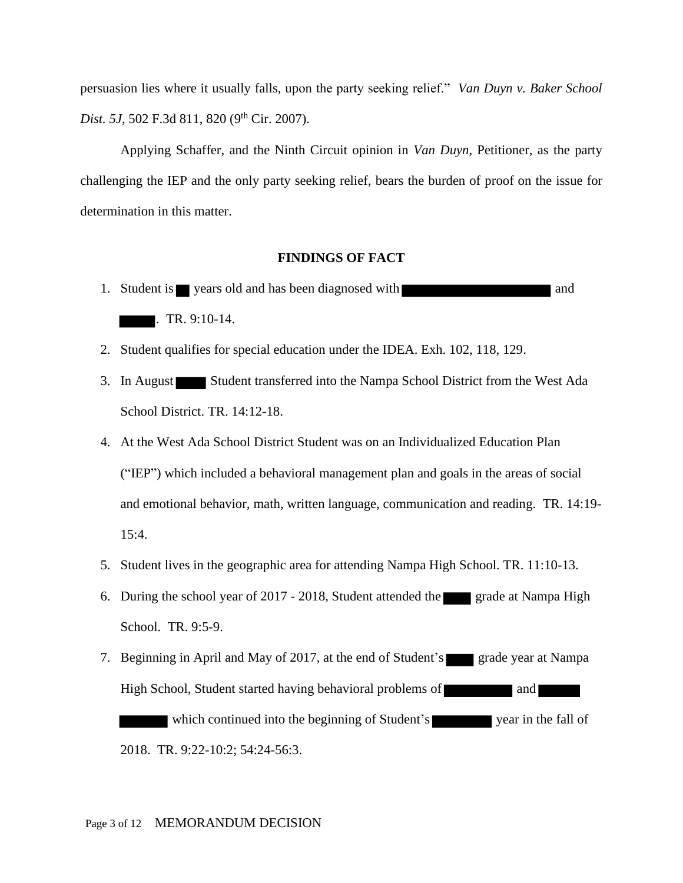persuasion lies where it usually falls, upon the party seeking relief." *Van Duyn v. Baker School Dist. 5J*, 502 F.3d 811, 820 (9<sup>th</sup> Cir. 2007).

Applying Schaffer, and the Ninth Circuit opinion in *Van Duyn*, Petitioner, as the party challenging the IEP and the only party seeking relief, bears the burden of proof on the issue for determination in this matter.

### **FINDINGS OF FACT**

- 1. Student is vears old and has been diagnosed with  $\blacksquare$ . TR. 9:10-14.
- 2. Student qualifies for special education under the IDEA. Exh. 102, 118, 129.
- 3. In August Student transferred into the Nampa School District from the West Ada School District. TR. 14:12-18.
- 4. At the West Ada School District Student was on an Individualized Education Plan ("IEP") which included a behavioral management plan and goals in the areas of social and emotional behavior, math, written language, communication and reading. TR. 14:19- 15:4.
- 5. Student lives in the geographic area for attending Nampa High School. TR. 11:10-13.
- 6. During the school year of 2017 2018, Student attended the grade at Nampa High School. TR. 9:5-9.
- 7. Beginning in April and May of 2017, at the end of Student's grade year at Nampa High School, Student started having behavioral problems of and which continued into the beginning of Student's year in the fall of 2018. TR. 9:22-10:2; 54:24-56:3.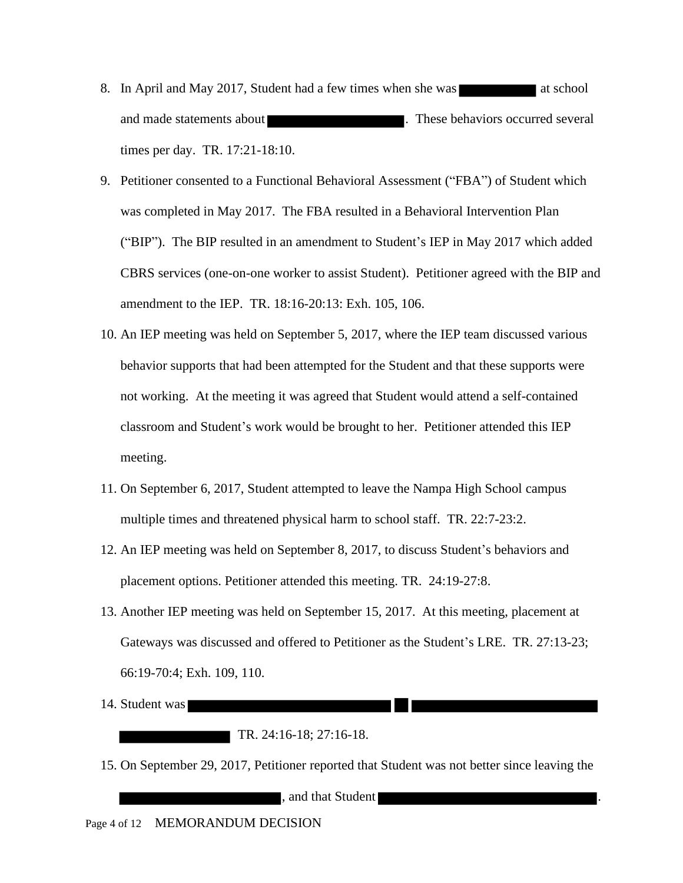- 8. In April and May 2017, Student had a few times when she was at school and made statements about **a contract to the statements** about **a** contract the several several in the several several times per day. TR. 17:21-18:10.
- 9. Petitioner consented to a Functional Behavioral Assessment ("FBA") of Student which was completed in May 2017. The FBA resulted in a Behavioral Intervention Plan ("BIP"). The BIP resulted in an amendment to Student's IEP in May 2017 which added CBRS services (one-on-one worker to assist Student). Petitioner agreed with the BIP and amendment to the IEP. TR. 18:16-20:13: Exh. 105, 106.
- 10. An IEP meeting was held on September 5, 2017, where the IEP team discussed various behavior supports that had been attempted for the Student and that these supports were not working. At the meeting it was agreed that Student would attend a self-contained classroom and Student's work would be brought to her. Petitioner attended this IEP meeting.
- 11. On September 6, 2017, Student attempted to leave the Nampa High School campus multiple times and threatened physical harm to school staff. TR. 22:7-23:2.
- 12. An IEP meeting was held on September 8, 2017, to discuss Student's behaviors and placement options. Petitioner attended this meeting. TR. 24:19-27:8.
- 13. Another IEP meeting was held on September 15, 2017. At this meeting, placement at Gateways was discussed and offered to Petitioner as the Student's LRE. TR. 27:13-23; 66:19-70:4; Exh. 109, 110.
- 14. Student was
	- TR. 24:16-18; 27:16-18.
- 15. On September 29, 2017, Petitioner reported that Student was not better since leaving the

**Example 2.5 and that Student**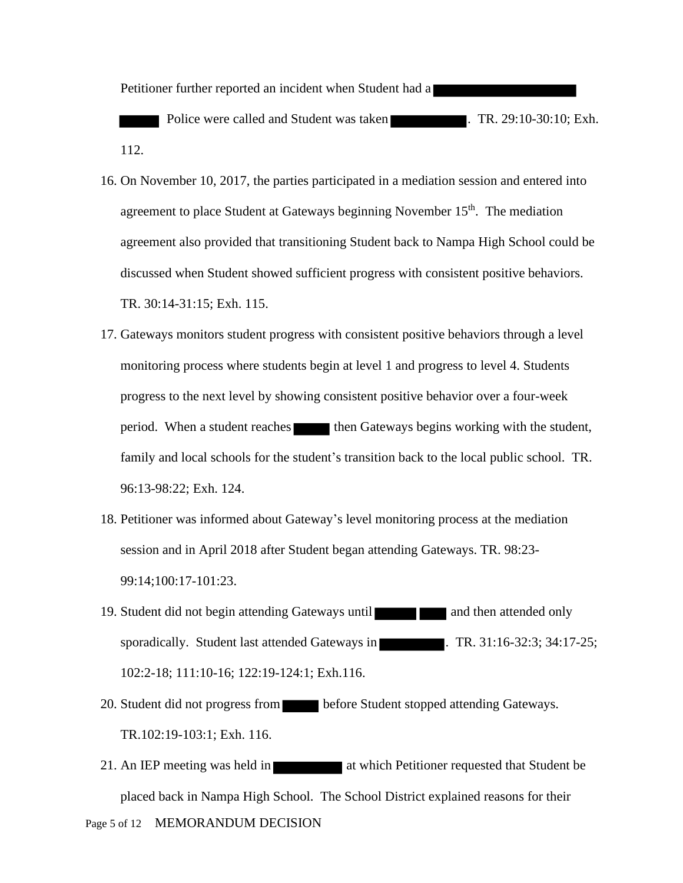Petitioner further reported an incident when Student had a

Police were called and Student was taken . TR. 29:10-30:10; Exh. 112.

- 16. On November 10, 2017, the parties participated in a mediation session and entered into agreement to place Student at Gateways beginning November  $15<sup>th</sup>$ . The mediation agreement also provided that transitioning Student back to Nampa High School could be discussed when Student showed sufficient progress with consistent positive behaviors. TR. 30:14-31:15; Exh. 115.
- 17. Gateways monitors student progress with consistent positive behaviors through a level monitoring process where students begin at level 1 and progress to level 4. Students progress to the next level by showing consistent positive behavior over a four-week period. When a student reaches then Gateways begins working with the student, family and local schools for the student's transition back to the local public school. TR. 96:13-98:22; Exh. 124.
- 18. Petitioner was informed about Gateway's level monitoring process at the mediation session and in April 2018 after Student began attending Gateways. TR. 98:23- 99:14;100:17-101:23.
- 19. Student did not begin attending Gateways until **19.** Student and then attended only sporadically. Student last attended Gateways in . TR. 31:16-32:3; 34:17-25; 102:2-18; 111:10-16; 122:19-124:1; Exh.116.
- 20. Student did not progress from **before Student stopped attending Gateways.** TR.102:19-103:1; Exh. 116.
- Page 5 of 12 MEMORANDUM DECISION 21. An IEP meeting was held in **at which Petitioner requested that Student be** placed back in Nampa High School. The School District explained reasons for their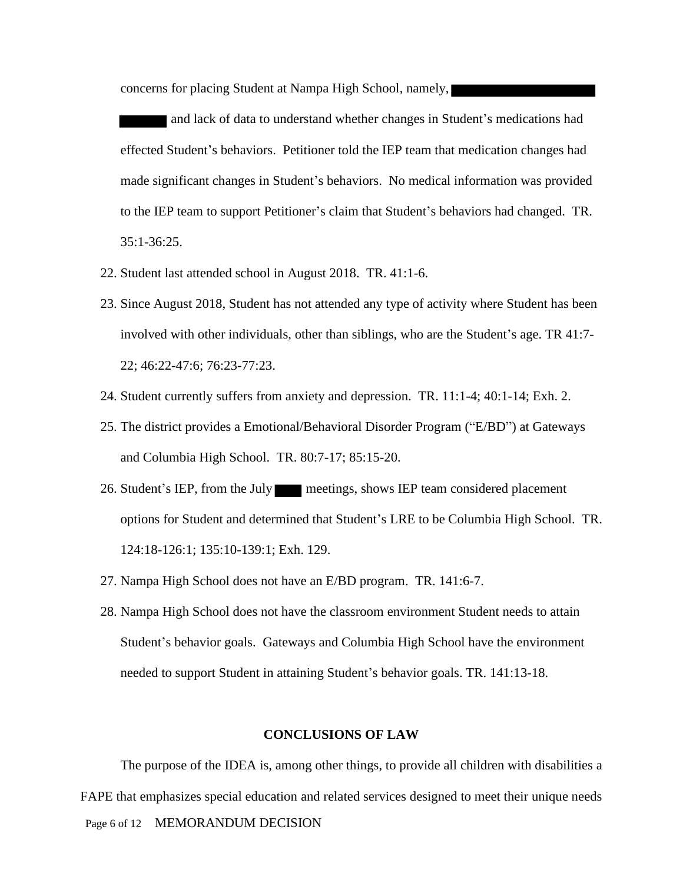concerns for placing Student at Nampa High School, namely,

 and lack of data to understand whether changes in Student's medications had effected Student's behaviors. Petitioner told the IEP team that medication changes had made significant changes in Student's behaviors. No medical information was provided to the IEP team to support Petitioner's claim that Student's behaviors had changed. TR. 35:1-36:25.

- 22. Student last attended school in August 2018. TR. 41:1-6.
- 23. Since August 2018, Student has not attended any type of activity where Student has been involved with other individuals, other than siblings, who are the Student's age. TR 41:7- 22; 46:22-47:6; 76:23-77:23.
- 24. Student currently suffers from anxiety and depression. TR. 11:1-4; 40:1-14; Exh. 2.
- 25. The district provides a Emotional/Behavioral Disorder Program ("E/BD") at Gateways and Columbia High School. TR. 80:7-17; 85:15-20.
- 26. Student's IEP, from the July meetings, shows IEP team considered placement options for Student and determined that Student's LRE to be Columbia High School. TR. 124:18-126:1; 135:10-139:1; Exh. 129.
- 27. Nampa High School does not have an E/BD program. TR. 141:6-7.
- 28. Nampa High School does not have the classroom environment Student needs to attain Student's behavior goals. Gateways and Columbia High School have the environment needed to support Student in attaining Student's behavior goals. TR. 141:13-18.

#### **CONCLUSIONS OF LAW**

Page 6 of 12 MEMORANDUM DECISION The purpose of the IDEA is, among other things, to provide all children with disabilities a FAPE that emphasizes special education and related services designed to meet their unique needs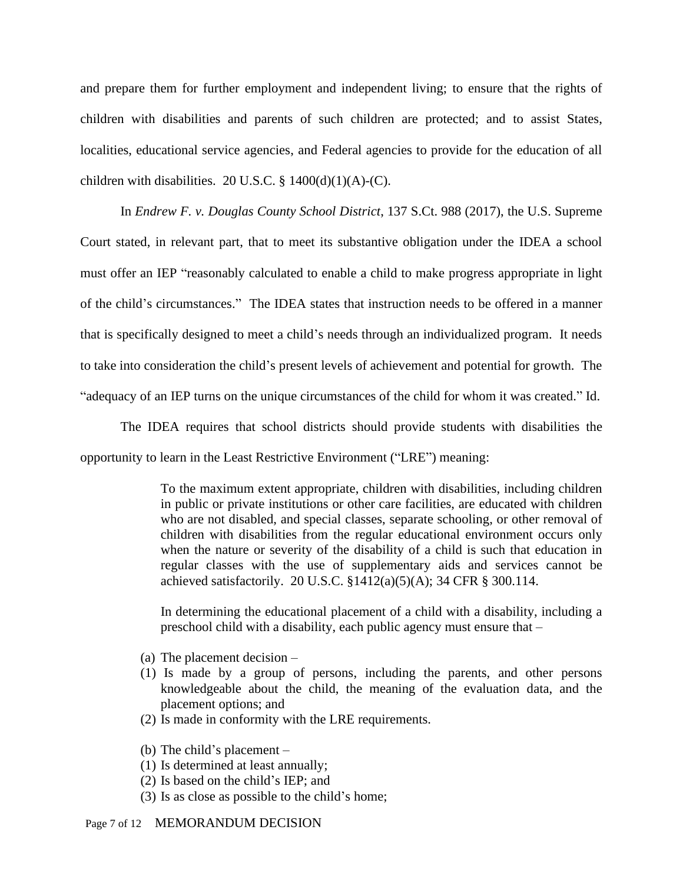and prepare them for further employment and independent living; to ensure that the rights of children with disabilities and parents of such children are protected; and to assist States, localities, educational service agencies, and Federal agencies to provide for the education of all children with disabilities. 20 U.S.C.  $\S$  1400(d)(1)(A)-(C).

In *Endrew F. v. Douglas County School District*, 137 S.Ct. 988 (2017), the U.S. Supreme Court stated, in relevant part, that to meet its substantive obligation under the IDEA a school must offer an IEP "reasonably calculated to enable a child to make progress appropriate in light of the child's circumstances." The IDEA states that instruction needs to be offered in a manner that is specifically designed to meet a child's needs through an individualized program. It needs to take into consideration the child's present levels of achievement and potential for growth. The "adequacy of an IEP turns on the unique circumstances of the child for whom it was created." Id.

The IDEA requires that school districts should provide students with disabilities the opportunity to learn in the Least Restrictive Environment ("LRE") meaning:

> To the maximum extent appropriate, children with disabilities, including children in public or private institutions or other care facilities, are educated with children who are not disabled, and special classes, separate schooling, or other removal of children with disabilities from the regular educational environment occurs only when the nature or severity of the disability of a child is such that education in regular classes with the use of supplementary aids and services cannot be achieved satisfactorily. 20 U.S.C. §1412(a)(5)(A); 34 CFR § 300.114.

> In determining the educational placement of a child with a disability, including a preschool child with a disability, each public agency must ensure that –

- (a) The placement decision –
- (1) Is made by a group of persons, including the parents, and other persons knowledgeable about the child, the meaning of the evaluation data, and the placement options; and
- (2) Is made in conformity with the LRE requirements.
- (b) The child's placement –
- (1) Is determined at least annually;
- (2) Is based on the child's IEP; and
- (3) Is as close as possible to the child's home;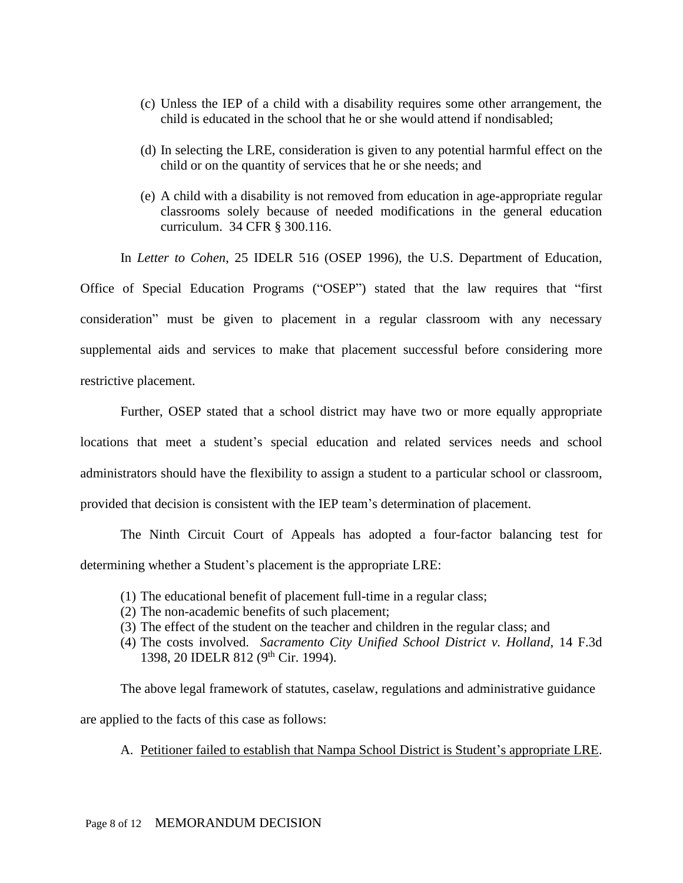- (c) Unless the IEP of a child with a disability requires some other arrangement, the child is educated in the school that he or she would attend if nondisabled;
- (d) In selecting the LRE, consideration is given to any potential harmful effect on the child or on the quantity of services that he or she needs; and
- (e) A child with a disability is not removed from education in age-appropriate regular classrooms solely because of needed modifications in the general education curriculum. 34 CFR § 300.116.

In *Letter to Cohen*, 25 IDELR 516 (OSEP 1996), the U.S. Department of Education,

Office of Special Education Programs ("OSEP") stated that the law requires that "first consideration" must be given to placement in a regular classroom with any necessary supplemental aids and services to make that placement successful before considering more restrictive placement.

Further, OSEP stated that a school district may have two or more equally appropriate locations that meet a student's special education and related services needs and school administrators should have the flexibility to assign a student to a particular school or classroom, provided that decision is consistent with the IEP team's determination of placement.

The Ninth Circuit Court of Appeals has adopted a four-factor balancing test for determining whether a Student's placement is the appropriate LRE:

- (1) The educational benefit of placement full-time in a regular class;
- (2) The non-academic benefits of such placement;
- (3) The effect of the student on the teacher and children in the regular class; and
- (4) The costs involved. *Sacramento City Unified School District v. Holland*, 14 F.3d 1398, 20 IDELR 812 (9th Cir. 1994).

The above legal framework of statutes, caselaw, regulations and administrative guidance are applied to the facts of this case as follows:

A. Petitioner failed to establish that Nampa School District is Student's appropriate LRE.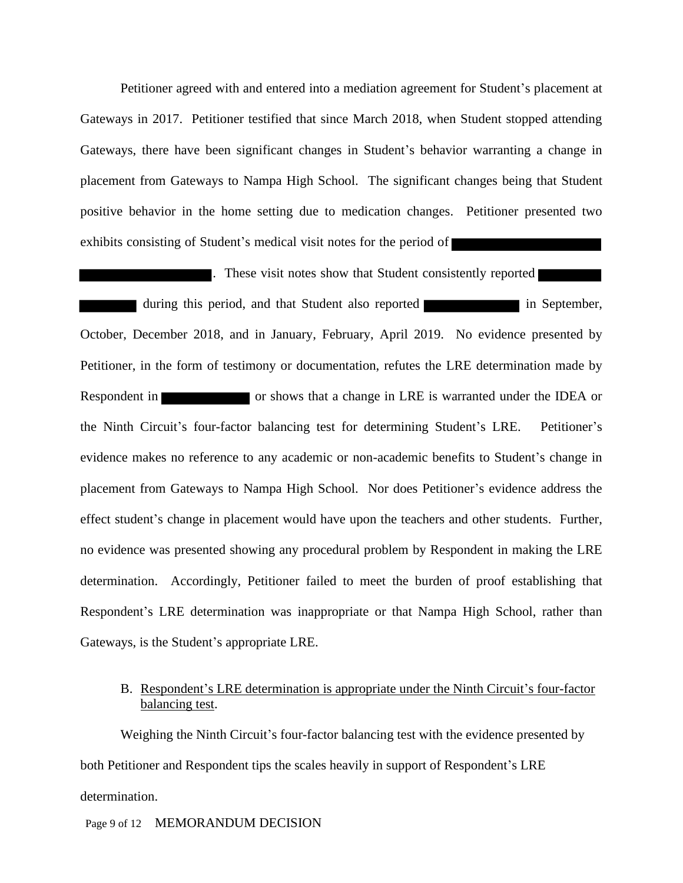Petitioner agreed with and entered into a mediation agreement for Student's placement at Gateways in 2017. Petitioner testified that since March 2018, when Student stopped attending Gateways, there have been significant changes in Student's behavior warranting a change in placement from Gateways to Nampa High School. The significant changes being that Student positive behavior in the home setting due to medication changes. Petitioner presented two exhibits consisting of Student's medical visit notes for the period of

**These visit notes show that Student consistently reported** during this period, and that Student also reported in September, October, December 2018, and in January, February, April 2019. No evidence presented by Petitioner, in the form of testimony or documentation, refutes the LRE determination made by Respondent in **EXECUTE:** The or shows that a change in LRE is warranted under the IDEA or the Ninth Circuit's four-factor balancing test for determining Student's LRE. Petitioner's evidence makes no reference to any academic or non-academic benefits to Student's change in placement from Gateways to Nampa High School. Nor does Petitioner's evidence address the effect student's change in placement would have upon the teachers and other students. Further, no evidence was presented showing any procedural problem by Respondent in making the LRE determination. Accordingly, Petitioner failed to meet the burden of proof establishing that Respondent's LRE determination was inappropriate or that Nampa High School, rather than Gateways, is the Student's appropriate LRE.

## B. Respondent's LRE determination is appropriate under the Ninth Circuit's four-factor balancing test.

Weighing the Ninth Circuit's four-factor balancing test with the evidence presented by both Petitioner and Respondent tips the scales heavily in support of Respondent's LRE determination.

### Page 9 of 12 MEMORANDUM DECISION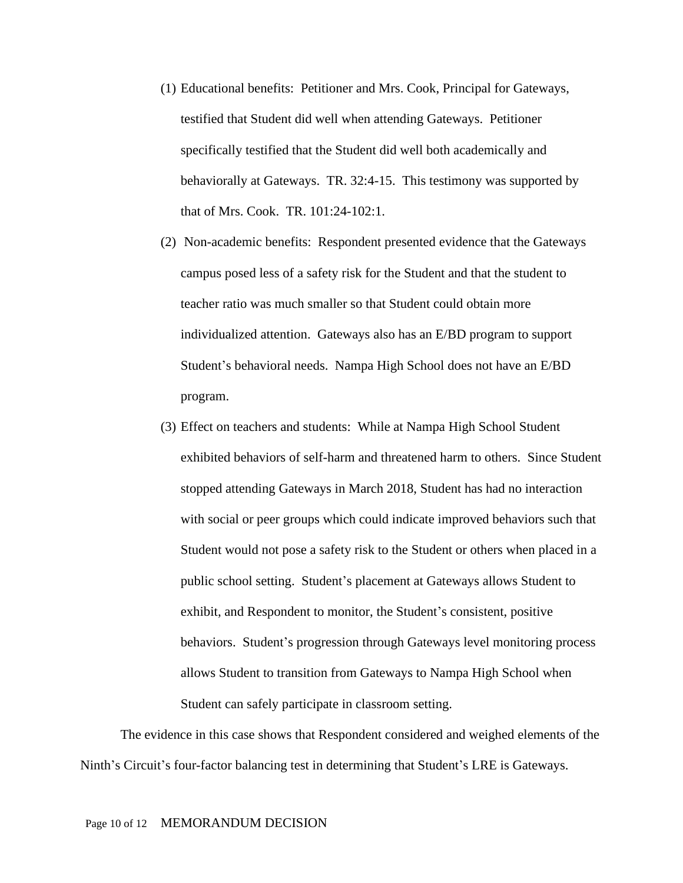- (1) Educational benefits: Petitioner and Mrs. Cook, Principal for Gateways, testified that Student did well when attending Gateways. Petitioner specifically testified that the Student did well both academically and behaviorally at Gateways. TR. 32:4-15. This testimony was supported by that of Mrs. Cook. TR. 101:24-102:1.
- (2) Non-academic benefits: Respondent presented evidence that the Gateways campus posed less of a safety risk for the Student and that the student to teacher ratio was much smaller so that Student could obtain more individualized attention. Gateways also has an E/BD program to support Student's behavioral needs. Nampa High School does not have an E/BD program.
- (3) Effect on teachers and students: While at Nampa High School Student exhibited behaviors of self-harm and threatened harm to others. Since Student stopped attending Gateways in March 2018, Student has had no interaction with social or peer groups which could indicate improved behaviors such that Student would not pose a safety risk to the Student or others when placed in a public school setting. Student's placement at Gateways allows Student to exhibit, and Respondent to monitor, the Student's consistent, positive behaviors. Student's progression through Gateways level monitoring process allows Student to transition from Gateways to Nampa High School when Student can safely participate in classroom setting.

The evidence in this case shows that Respondent considered and weighed elements of the Ninth's Circuit's four-factor balancing test in determining that Student's LRE is Gateways.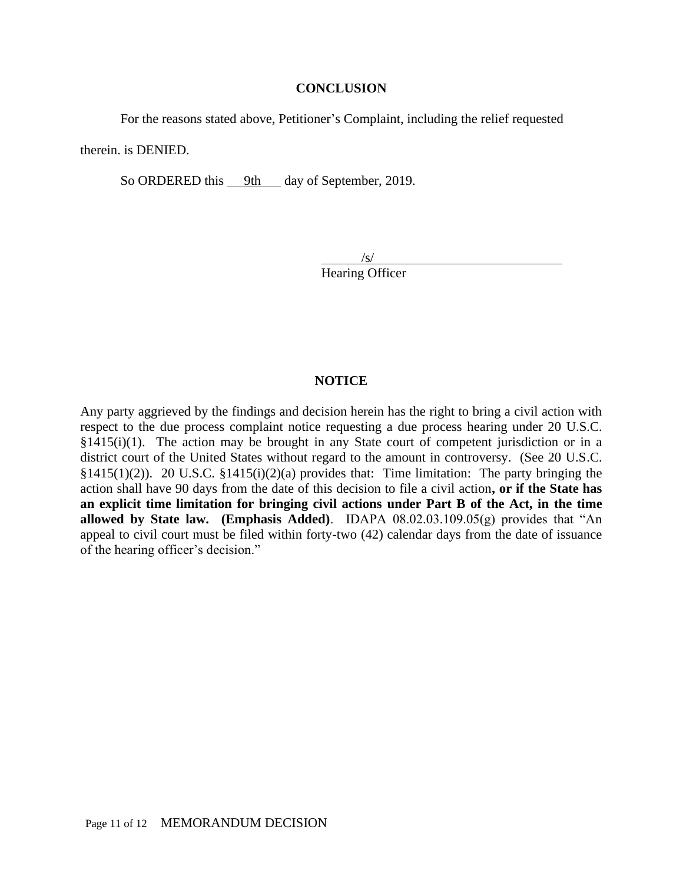#### **CONCLUSION**

For the reasons stated above, Petitioner's Complaint, including the relief requested

therein. is DENIED.

So ORDERED this 9th day of September, 2019.

 $\sqrt{s/}$ Hearing Officer

### **NOTICE**

Any party aggrieved by the findings and decision herein has the right to bring a civil action with respect to the due process complaint notice requesting a due process hearing under 20 U.S.C.  $§1415(i)(1)$ . The action may be brought in any State court of competent jurisdiction or in a district court of the United States without regard to the amount in controversy. (See 20 U.S.C. §1415(1)(2)). 20 U.S.C. §1415(i)(2)(a) provides that: Time limitation: The party bringing the action shall have 90 days from the date of this decision to file a civil action**, or if the State has an explicit time limitation for bringing civil actions under Part B of the Act, in the time allowed by State law. (Emphasis Added)**. IDAPA 08.02.03.109.05(g) provides that "An appeal to civil court must be filed within forty-two (42) calendar days from the date of issuance of the hearing officer's decision."